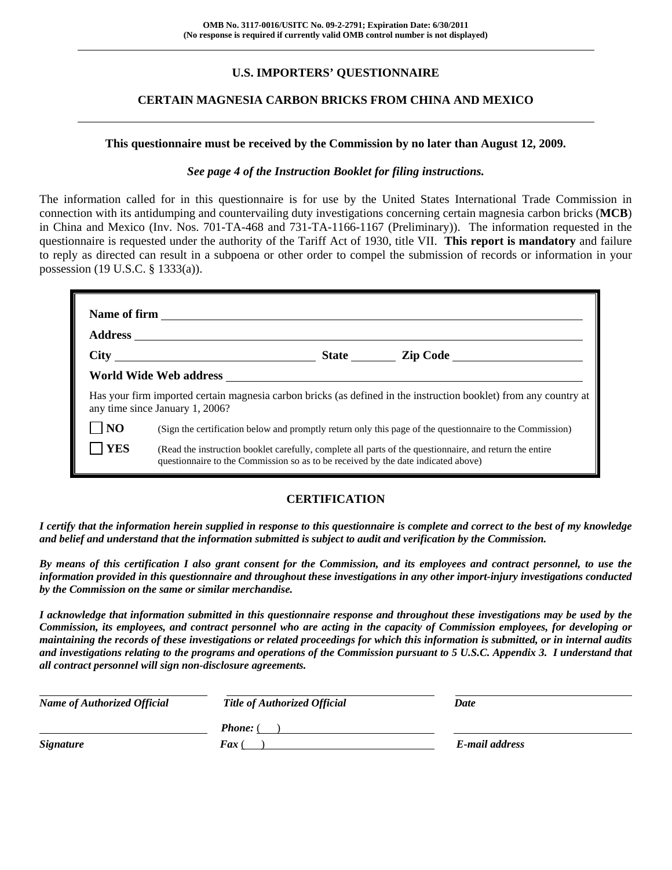# **U.S. IMPORTERS' QUESTIONNAIRE**

### **CERTAIN MAGNESIA CARBON BRICKS FROM CHINA AND MEXICO**

#### **This questionnaire must be received by the Commission by no later than August 12, 2009.**

#### *See page 4 of the Instruction Booklet for filing instructions.*

The information called for in this questionnaire is for use by the United States International Trade Commission in connection with its antidumping and countervailing duty investigations concerning certain magnesia carbon bricks (**MCB**) in China and Mexico (Inv. Nos. 701-TA-468 and 731-TA-1166-1167 (Preliminary)). The information requested in the questionnaire is requested under the authority of the Tariff Act of 1930, title VII. **This report is mandatory** and failure to reply as directed can result in a subpoena or other order to compel the submission of records or information in your possession (19 U.S.C. § 1333(a)).

|                | Has your firm imported certain magnesia carbon bricks (as defined in the instruction booklet) from any country at<br>any time since January 1, 2006?                                         |  |  |  |  |  |  |  |
|----------------|----------------------------------------------------------------------------------------------------------------------------------------------------------------------------------------------|--|--|--|--|--|--|--|
| N <sub>O</sub> | (Sign the certification below and promptly return only this page of the questionnaire to the Commission)                                                                                     |  |  |  |  |  |  |  |
| <b>YES</b>     | (Read the instruction booklet carefully, complete all parts of the questionnaire, and return the entire<br>questionnaire to the Commission so as to be received by the date indicated above) |  |  |  |  |  |  |  |

## **CERTIFICATION**

*I certify that the information herein supplied in response to this questionnaire is complete and correct to the best of my knowledge and belief and understand that the information submitted is subject to audit and verification by the Commission.* 

*By means of this certification I also grant consent for the Commission, and its employees and contract personnel, to use the information provided in this questionnaire and throughout these investigations in any other import-injury investigations conducted by the Commission on the same or similar merchandise.* 

*I acknowledge that information submitted in this questionnaire response and throughout these investigations may be used by the Commission, its employees, and contract personnel who are acting in the capacity of Commission employees, for developing or maintaining the records of these investigations or related proceedings for which this information is submitted, or in internal audits and investigations relating to the programs and operations of the Commission pursuant to 5 U.S.C. Appendix 3. I understand that all contract personnel will sign non-disclosure agreements.* 

| <b>Name of Authorized Official</b> | <b>Title of Authorized Official</b> | Date           |  |
|------------------------------------|-------------------------------------|----------------|--|
|                                    | <b>Phone:</b> (                     |                |  |
| <b>Signature</b>                   | <b>Fax</b> (                        | E-mail address |  |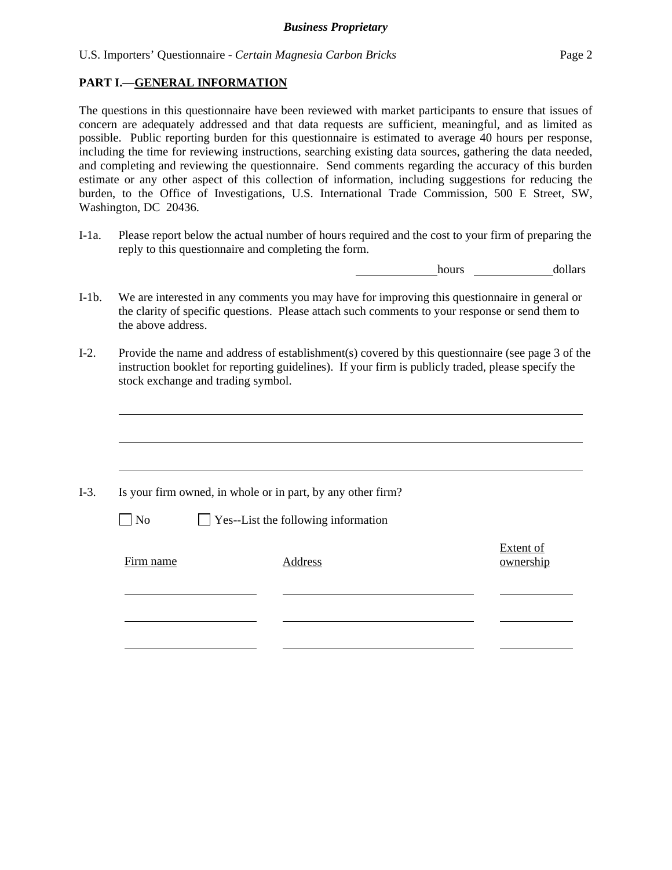### **PART I.—GENERAL INFORMATION**

The questions in this questionnaire have been reviewed with market participants to ensure that issues of concern are adequately addressed and that data requests are sufficient, meaningful, and as limited as possible. Public reporting burden for this questionnaire is estimated to average 40 hours per response, including the time for reviewing instructions, searching existing data sources, gathering the data needed, and completing and reviewing the questionnaire. Send comments regarding the accuracy of this burden estimate or any other aspect of this collection of information, including suggestions for reducing the burden, to the Office of Investigations, U.S. International Trade Commission, 500 E Street, SW, Washington, DC 20436.

I-1a. Please report below the actual number of hours required and the cost to your firm of preparing the reply to this questionnaire and completing the form.

hours dollars

- I-1b. We are interested in any comments you may have for improving this questionnaire in general or the clarity of specific questions. Please attach such comments to your response or send them to the above address.
- I-2. Provide the name and address of establishment(s) covered by this questionnaire (see page 3 of the instruction booklet for reporting guidelines). If your firm is publicly traded, please specify the stock exchange and trading symbol.

|           | Is your firm owned, in whole or in part, by any other firm? |                        |
|-----------|-------------------------------------------------------------|------------------------|
| $\neg$ No | $\Box$ Yes--List the following information                  |                        |
| Firm name | Address                                                     | Extent of<br>ownership |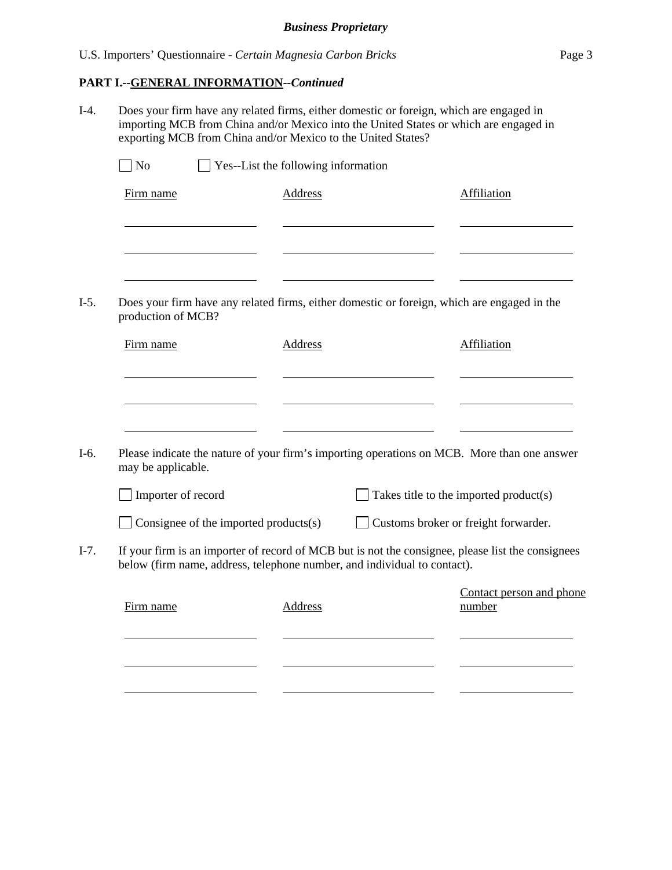#### **PART I.--GENERAL INFORMATION***--Continued*

I-4. Does your firm have any related firms, either domestic or foreign, which are engaged in importing MCB from China and/or Mexico into the United States or which are engaged in exporting MCB from China and/or Mexico to the United States?  $\Box$  No  $\Box$  Yes--List the following information Firm name Address Address Affiliation l l l  $\sim$ I-5. Does your firm have any related firms, either domestic or foreign, which are engaged in the production of MCB? Firm name Address Address Affiliation l l l I-6. Please indicate the nature of your firm's importing operations on MCB. More than one answer may be applicable.  $\Box$  Importer of record  $\Box$  Takes title to the imported product(s) Consignee of the imported products(s) Customs broker or freight forwarder. I-7. If your firm is an importer of record of MCB but is not the consignee, please list the consignees below (firm name, address, telephone number, and individual to contact). Contact person and phone Firm name Address number l l l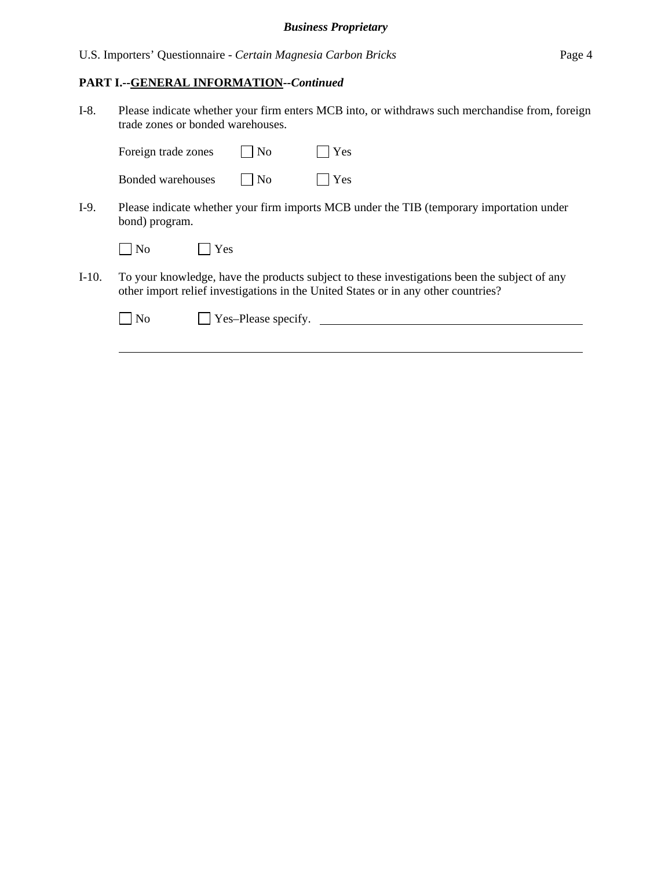#### **PART I.--GENERAL INFORMATION***--Continued*

I-8. Please indicate whether your firm enters MCB into, or withdraws such merchandise from, foreign trade zones or bonded warehouses.

| Foreign trade zones      | $\vert$ No | $\blacksquare$ Yes |
|--------------------------|------------|--------------------|
| <b>Bonded warehouses</b> | $\vert$ No | $\Box$ Yes         |

I-9. Please indicate whether your firm imports MCB under the TIB (temporary importation under bond) program.

| $1$ No | Yes |
|--------|-----|
|--------|-----|

 $\overline{a}$ 

I-10. To your knowledge, have the products subject to these investigations been the subject of any other import relief investigations in the United States or in any other countries?

| $\blacksquare$ No | Yes-Please specify. |  |
|-------------------|---------------------|--|
|                   |                     |  |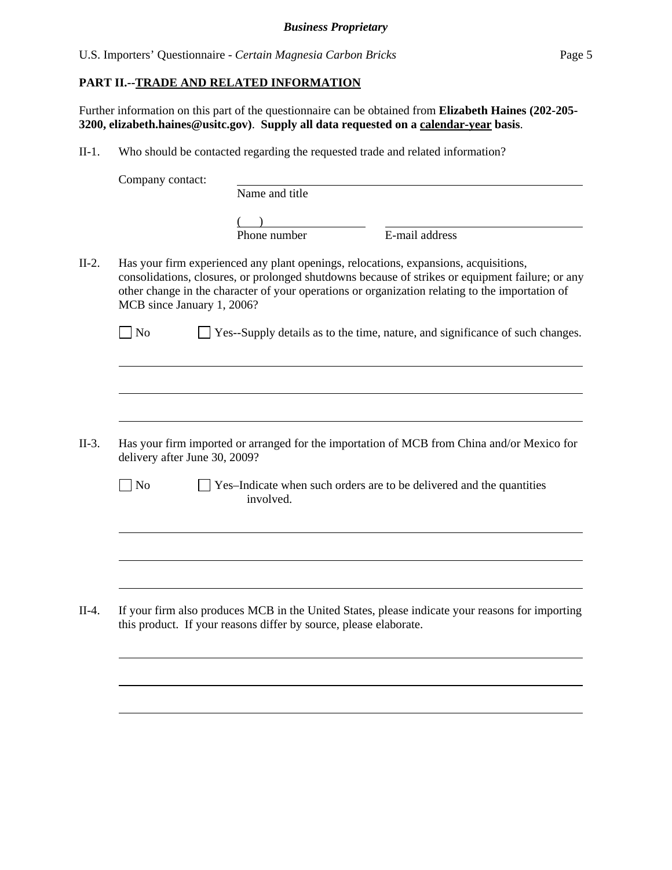### **PART II.--TRADE AND RELATED INFORMATION**

 $\overline{a}$ 

 $\overline{a}$ 

Further information on this part of the questionnaire can be obtained from **Elizabeth Haines (202-205- 3200, elizabeth.haines@usitc.gov)**. **Supply all data requested on a calendar-year basis**.

II-1. Who should be contacted regarding the requested trade and related information?

|         | Company contact:              |                                                                                                                                                                                                                                                                                             |
|---------|-------------------------------|---------------------------------------------------------------------------------------------------------------------------------------------------------------------------------------------------------------------------------------------------------------------------------------------|
|         |                               | Name and title                                                                                                                                                                                                                                                                              |
|         |                               | E-mail address<br>Phone number                                                                                                                                                                                                                                                              |
| $II-2.$ | MCB since January 1, 2006?    | Has your firm experienced any plant openings, relocations, expansions, acquisitions,<br>consolidations, closures, or prolonged shutdowns because of strikes or equipment failure; or any<br>other change in the character of your operations or organization relating to the importation of |
|         | $ $ No                        | Yes--Supply details as to the time, nature, and significance of such changes.                                                                                                                                                                                                               |
|         |                               |                                                                                                                                                                                                                                                                                             |
| $II-3.$ | delivery after June 30, 2009? | Has your firm imported or arranged for the importation of MCB from China and/or Mexico for                                                                                                                                                                                                  |
|         | N <sub>o</sub>                | Yes-Indicate when such orders are to be delivered and the quantities<br>involved.                                                                                                                                                                                                           |
|         |                               |                                                                                                                                                                                                                                                                                             |
| $II-4.$ |                               | If your firm also produces MCB in the United States, please indicate your reasons for importing<br>this product. If your reasons differ by source, please elaborate.                                                                                                                        |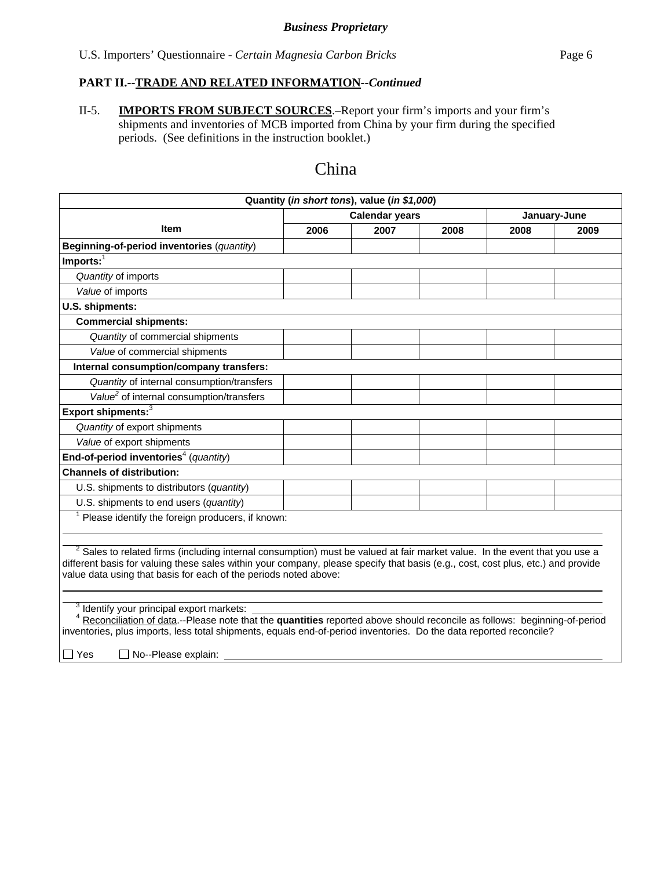# **PART II.--TRADE AND RELATED INFORMATION***--Continued*

II-5. **IMPORTS FROM SUBJECT SOURCES**.–Report your firm's imports and your firm's shipments and inventories of MCB imported from China by your firm during the specified periods. (See definitions in the instruction booklet.)

# China

| Quantity (in short tons), value (in \$1,000)                                                                                                                                                                                                                                                                                                  |      |                       |      |              |      |  |  |  |
|-----------------------------------------------------------------------------------------------------------------------------------------------------------------------------------------------------------------------------------------------------------------------------------------------------------------------------------------------|------|-----------------------|------|--------------|------|--|--|--|
|                                                                                                                                                                                                                                                                                                                                               |      | <b>Calendar years</b> |      | January-June |      |  |  |  |
| <b>Item</b>                                                                                                                                                                                                                                                                                                                                   | 2006 | 2007                  | 2008 | 2008         | 2009 |  |  |  |
| Beginning-of-period inventories (quantity)                                                                                                                                                                                                                                                                                                    |      |                       |      |              |      |  |  |  |
| Imports: $\overline{1}$                                                                                                                                                                                                                                                                                                                       |      |                       |      |              |      |  |  |  |
| Quantity of imports                                                                                                                                                                                                                                                                                                                           |      |                       |      |              |      |  |  |  |
| Value of imports                                                                                                                                                                                                                                                                                                                              |      |                       |      |              |      |  |  |  |
| U.S. shipments:                                                                                                                                                                                                                                                                                                                               |      |                       |      |              |      |  |  |  |
| <b>Commercial shipments:</b>                                                                                                                                                                                                                                                                                                                  |      |                       |      |              |      |  |  |  |
| Quantity of commercial shipments                                                                                                                                                                                                                                                                                                              |      |                       |      |              |      |  |  |  |
| Value of commercial shipments                                                                                                                                                                                                                                                                                                                 |      |                       |      |              |      |  |  |  |
| Internal consumption/company transfers:                                                                                                                                                                                                                                                                                                       |      |                       |      |              |      |  |  |  |
| Quantity of internal consumption/transfers                                                                                                                                                                                                                                                                                                    |      |                       |      |              |      |  |  |  |
| Value <sup>2</sup> of internal consumption/transfers                                                                                                                                                                                                                                                                                          |      |                       |      |              |      |  |  |  |
| Export shipments: <sup>3</sup>                                                                                                                                                                                                                                                                                                                |      |                       |      |              |      |  |  |  |
| Quantity of export shipments                                                                                                                                                                                                                                                                                                                  |      |                       |      |              |      |  |  |  |
| Value of export shipments                                                                                                                                                                                                                                                                                                                     |      |                       |      |              |      |  |  |  |
| End-of-period inventories <sup>4</sup> (quantity)                                                                                                                                                                                                                                                                                             |      |                       |      |              |      |  |  |  |
| <b>Channels of distribution:</b>                                                                                                                                                                                                                                                                                                              |      |                       |      |              |      |  |  |  |
| U.S. shipments to distributors (quantity)                                                                                                                                                                                                                                                                                                     |      |                       |      |              |      |  |  |  |
| U.S. shipments to end users (quantity)                                                                                                                                                                                                                                                                                                        |      |                       |      |              |      |  |  |  |
| Please identify the foreign producers, if known:                                                                                                                                                                                                                                                                                              |      |                       |      |              |      |  |  |  |
|                                                                                                                                                                                                                                                                                                                                               |      |                       |      |              |      |  |  |  |
| <sup>2</sup> Sales to related firms (including internal consumption) must be valued at fair market value. In the event that you use a<br>different basis for valuing these sales within your company, please specify that basis (e.g., cost, cost plus, etc.) and provide<br>value data using that basis for each of the periods noted above: |      |                       |      |              |      |  |  |  |
| Identify your principal export markets:                                                                                                                                                                                                                                                                                                       |      |                       |      |              |      |  |  |  |
| Reconciliation of data .-- Please note that the quantities reported above should reconcile as follows: beginning-of-period                                                                                                                                                                                                                    |      |                       |      |              |      |  |  |  |
| inventories, plus imports, less total shipments, equals end-of-period inventories. Do the data reported reconcile?                                                                                                                                                                                                                            |      |                       |      |              |      |  |  |  |
| $\Box$ Yes<br>No--Please explain:                                                                                                                                                                                                                                                                                                             |      |                       |      |              |      |  |  |  |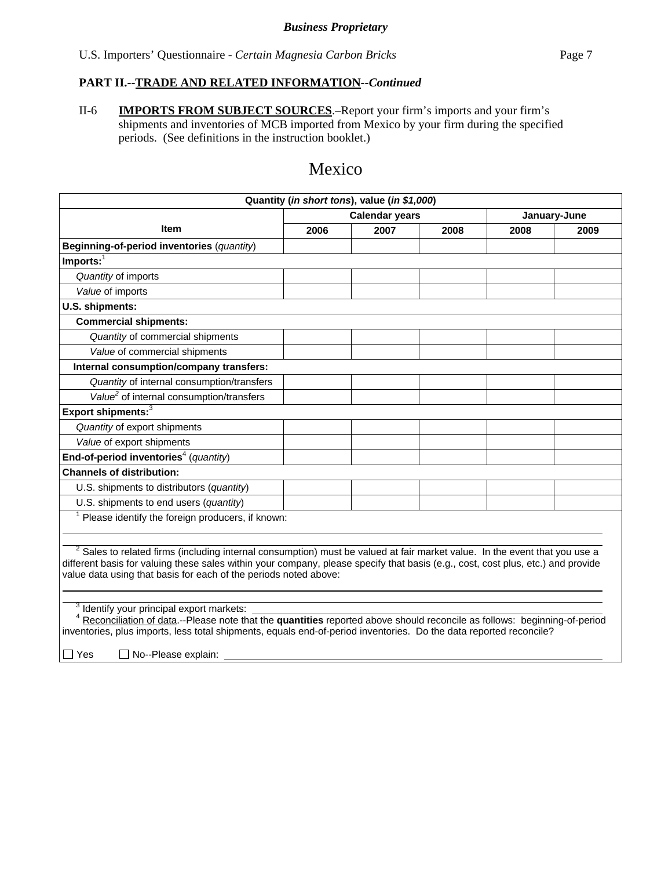#### **PART II.--TRADE AND RELATED INFORMATION***--Continued*

II-6 **IMPORTS FROM SUBJECT SOURCES**.–Report your firm's imports and your firm's shipments and inventories of MCB imported from Mexico by your firm during the specified periods. (See definitions in the instruction booklet.)

# Mexico

| <b>Item</b><br>Beginning-of-period inventories (quantity)<br>$Imports:$ <sup>1</sup><br>Quantity of imports                                                                                                                                                                                                                                   | 2006 | <b>Calendar years</b><br>2007 | 2008 | January-June<br>2008 | 2009 |  |  |
|-----------------------------------------------------------------------------------------------------------------------------------------------------------------------------------------------------------------------------------------------------------------------------------------------------------------------------------------------|------|-------------------------------|------|----------------------|------|--|--|
|                                                                                                                                                                                                                                                                                                                                               |      |                               |      |                      |      |  |  |
|                                                                                                                                                                                                                                                                                                                                               |      |                               |      |                      |      |  |  |
|                                                                                                                                                                                                                                                                                                                                               |      |                               |      |                      |      |  |  |
|                                                                                                                                                                                                                                                                                                                                               |      |                               |      |                      |      |  |  |
|                                                                                                                                                                                                                                                                                                                                               |      |                               |      |                      |      |  |  |
| Value of imports                                                                                                                                                                                                                                                                                                                              |      |                               |      |                      |      |  |  |
| U.S. shipments:                                                                                                                                                                                                                                                                                                                               |      |                               |      |                      |      |  |  |
| <b>Commercial shipments:</b>                                                                                                                                                                                                                                                                                                                  |      |                               |      |                      |      |  |  |
| Quantity of commercial shipments                                                                                                                                                                                                                                                                                                              |      |                               |      |                      |      |  |  |
| Value of commercial shipments                                                                                                                                                                                                                                                                                                                 |      |                               |      |                      |      |  |  |
| Internal consumption/company transfers:                                                                                                                                                                                                                                                                                                       |      |                               |      |                      |      |  |  |
| Quantity of internal consumption/transfers                                                                                                                                                                                                                                                                                                    |      |                               |      |                      |      |  |  |
| Value <sup>2</sup> of internal consumption/transfers                                                                                                                                                                                                                                                                                          |      |                               |      |                      |      |  |  |
| Export shipments: <sup>3</sup>                                                                                                                                                                                                                                                                                                                |      |                               |      |                      |      |  |  |
| Quantity of export shipments                                                                                                                                                                                                                                                                                                                  |      |                               |      |                      |      |  |  |
| Value of export shipments                                                                                                                                                                                                                                                                                                                     |      |                               |      |                      |      |  |  |
| End-of-period inventories <sup>4</sup> (quantity)                                                                                                                                                                                                                                                                                             |      |                               |      |                      |      |  |  |
| <b>Channels of distribution:</b>                                                                                                                                                                                                                                                                                                              |      |                               |      |                      |      |  |  |
| U.S. shipments to distributors (quantity)                                                                                                                                                                                                                                                                                                     |      |                               |      |                      |      |  |  |
| U.S. shipments to end users (quantity)                                                                                                                                                                                                                                                                                                        |      |                               |      |                      |      |  |  |
| Please identify the foreign producers, if known:                                                                                                                                                                                                                                                                                              |      |                               |      |                      |      |  |  |
|                                                                                                                                                                                                                                                                                                                                               |      |                               |      |                      |      |  |  |
| <sup>2</sup> Sales to related firms (including internal consumption) must be valued at fair market value. In the event that you use a<br>different basis for valuing these sales within your company, please specify that basis (e.g., cost, cost plus, etc.) and provide<br>value data using that basis for each of the periods noted above: |      |                               |      |                      |      |  |  |
| Identify your principal export markets:<br>Reconciliation of data.--Please note that the quantities reported above should reconcile as follows: beginning-of-period<br>inventories, plus imports, less total shipments, equals end-of-period inventories. Do the data reported reconcile?<br>$\Box$ Yes<br>No--Please explain:                |      |                               |      |                      |      |  |  |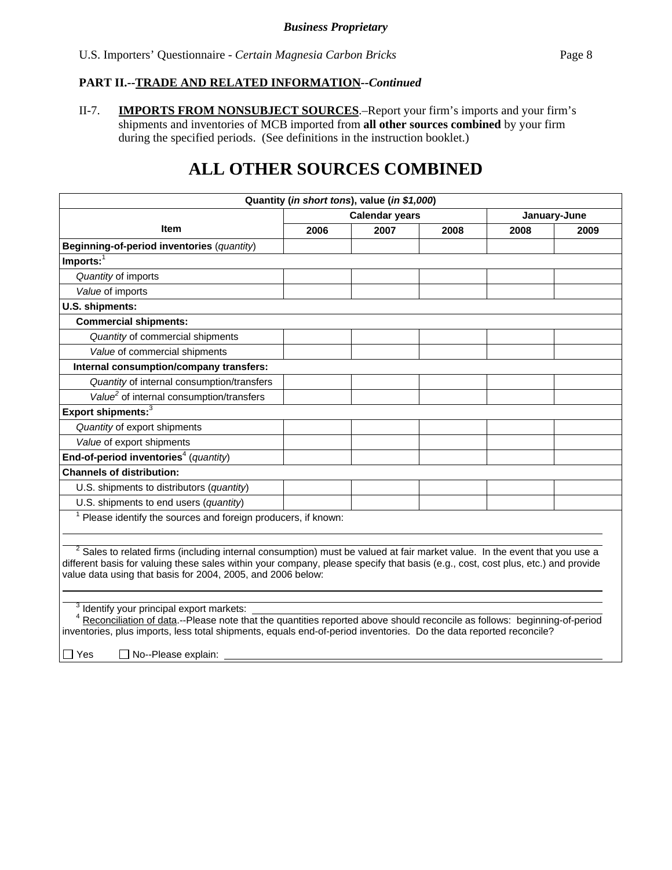#### **PART II.--TRADE AND RELATED INFORMATION***--Continued*

II-7. **IMPORTS FROM NONSUBJECT SOURCES**.–Report your firm's imports and your firm's shipments and inventories of MCB imported from **all other sources combined** by your firm during the specified periods. (See definitions in the instruction booklet.)

# **ALL OTHER SOURCES COMBINED**

| Quantity (in short tons), value (in \$1,000)                                                                                                                                                                                                                                                                                    |      |                       |      |              |      |  |  |
|---------------------------------------------------------------------------------------------------------------------------------------------------------------------------------------------------------------------------------------------------------------------------------------------------------------------------------|------|-----------------------|------|--------------|------|--|--|
|                                                                                                                                                                                                                                                                                                                                 |      | <b>Calendar years</b> |      | January-June |      |  |  |
| <b>Item</b>                                                                                                                                                                                                                                                                                                                     | 2006 | 2007                  | 2008 | 2008         | 2009 |  |  |
| Beginning-of-period inventories (quantity)                                                                                                                                                                                                                                                                                      |      |                       |      |              |      |  |  |
| $Imports:$ <sup>1</sup>                                                                                                                                                                                                                                                                                                         |      |                       |      |              |      |  |  |
| Quantity of imports                                                                                                                                                                                                                                                                                                             |      |                       |      |              |      |  |  |
| Value of imports                                                                                                                                                                                                                                                                                                                |      |                       |      |              |      |  |  |
| U.S. shipments:                                                                                                                                                                                                                                                                                                                 |      |                       |      |              |      |  |  |
| <b>Commercial shipments:</b>                                                                                                                                                                                                                                                                                                    |      |                       |      |              |      |  |  |
| Quantity of commercial shipments                                                                                                                                                                                                                                                                                                |      |                       |      |              |      |  |  |
| Value of commercial shipments                                                                                                                                                                                                                                                                                                   |      |                       |      |              |      |  |  |
| Internal consumption/company transfers:                                                                                                                                                                                                                                                                                         |      |                       |      |              |      |  |  |
| Quantity of internal consumption/transfers                                                                                                                                                                                                                                                                                      |      |                       |      |              |      |  |  |
| Value <sup>2</sup> of internal consumption/transfers                                                                                                                                                                                                                                                                            |      |                       |      |              |      |  |  |
| Export shipments: <sup>3</sup>                                                                                                                                                                                                                                                                                                  |      |                       |      |              |      |  |  |
| Quantity of export shipments                                                                                                                                                                                                                                                                                                    |      |                       |      |              |      |  |  |
| Value of export shipments                                                                                                                                                                                                                                                                                                       |      |                       |      |              |      |  |  |
| End-of-period inventories <sup>4</sup> (quantity)                                                                                                                                                                                                                                                                               |      |                       |      |              |      |  |  |
| <b>Channels of distribution:</b>                                                                                                                                                                                                                                                                                                |      |                       |      |              |      |  |  |
| U.S. shipments to distributors (quantity)                                                                                                                                                                                                                                                                                       |      |                       |      |              |      |  |  |
| U.S. shipments to end users (quantity)                                                                                                                                                                                                                                                                                          |      |                       |      |              |      |  |  |
| $1$ Please identify the sources and foreign producers, if known:                                                                                                                                                                                                                                                                |      |                       |      |              |      |  |  |
|                                                                                                                                                                                                                                                                                                                                 |      |                       |      |              |      |  |  |
| $2$ Sales to related firms (including internal consumption) must be valued at fair market value. In the event that you use a<br>different basis for valuing these sales within your company, please specify that basis (e.g., cost, cost plus, etc.) and provide<br>value data using that basis for 2004, 2005, and 2006 below: |      |                       |      |              |      |  |  |
| Identify your principal export markets:<br><sup>4</sup> Reconciliation of data .--Please note that the quantities reported above should reconcile as follows: beginning-of-period<br>inventories, plus imports, less total shipments, equals end-of-period inventories. Do the data reported reconcile?                         |      |                       |      |              |      |  |  |

|□ Yes □ No--Please explain: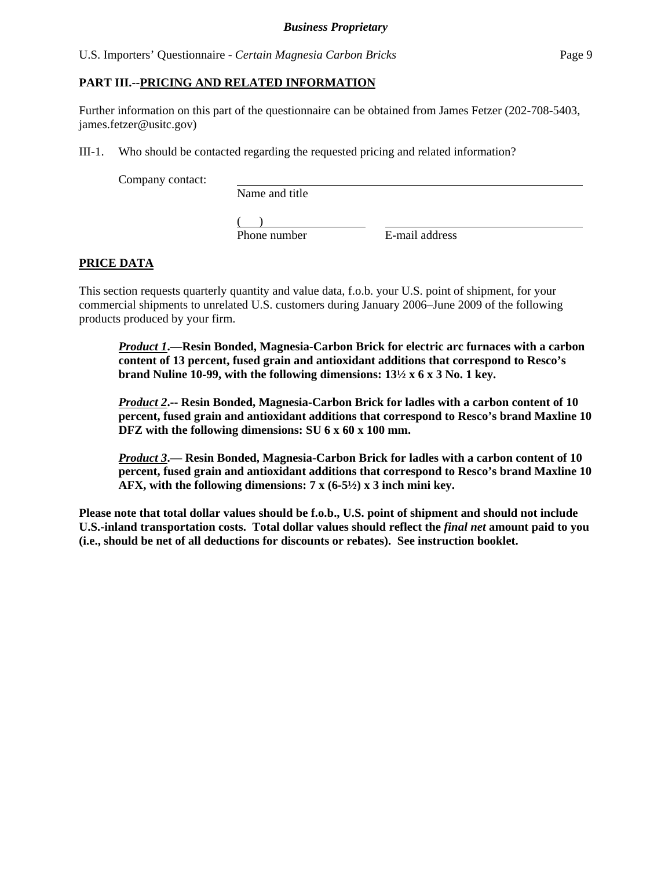#### **PART III.--PRICING AND RELATED INFORMATION**

Further information on this part of the questionnaire can be obtained from James Fetzer (202-708-5403, james.fetzer@usitc.gov)

III-1. Who should be contacted regarding the requested pricing and related information?

Company contact:

Name and title

 $($ Phone number E-mail address

## **PRICE DATA**

This section requests quarterly quantity and value data, f.o.b. your U.S. point of shipment, for your commercial shipments to unrelated U.S. customers during January 2006–June 2009 of the following products produced by your firm.

*Product 1***.—Resin Bonded, Magnesia-Carbon Brick for electric arc furnaces with a carbon content of 13 percent, fused grain and antioxidant additions that correspond to Resco's brand Nuline 10-99, with the following dimensions: 13½ x 6 x 3 No. 1 key.** 

*Product 2***.-- Resin Bonded, Magnesia-Carbon Brick for ladles with a carbon content of 10 percent, fused grain and antioxidant additions that correspond to Resco's brand Maxline 10 DFZ with the following dimensions: SU 6 x 60 x 100 mm.** 

*Product 3***.— Resin Bonded, Magnesia-Carbon Brick for ladles with a carbon content of 10 percent, fused grain and antioxidant additions that correspond to Resco's brand Maxline 10 AFX, with the following dimensions: 7 x (6-5½) x 3 inch mini key.** 

**Please note that total dollar values should be f.o.b., U.S. point of shipment and should not include U.S.-inland transportation costs. Total dollar values should reflect the** *final net* **amount paid to you (i.e., should be net of all deductions for discounts or rebates). See instruction booklet.**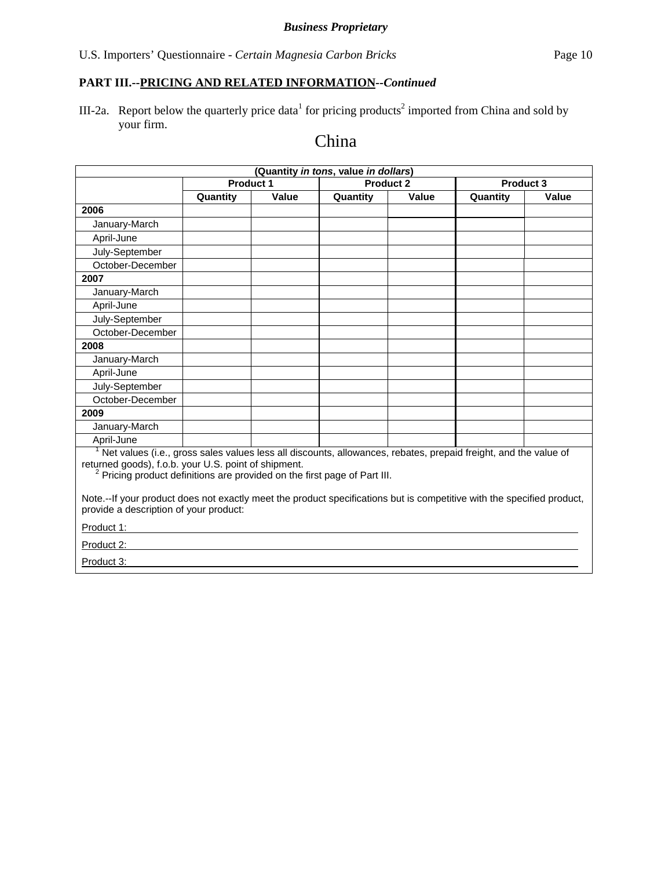# **PART III.--PRICING AND RELATED INFORMATION***--Continued*

III-2a. Report below the quarterly price data<sup>1</sup> for pricing products<sup>2</sup> imported from China and sold by your firm.

# China

| (Quantity in tons, value in dollars)                                                                                                                                                                                                                                         |                  |       |                  |              |           |       |  |
|------------------------------------------------------------------------------------------------------------------------------------------------------------------------------------------------------------------------------------------------------------------------------|------------------|-------|------------------|--------------|-----------|-------|--|
|                                                                                                                                                                                                                                                                              | <b>Product 1</b> |       | <b>Product 2</b> |              | Product 3 |       |  |
|                                                                                                                                                                                                                                                                              | Quantity         | Value | Quantity         | <b>Value</b> | Quantity  | Value |  |
| 2006                                                                                                                                                                                                                                                                         |                  |       |                  |              |           |       |  |
| January-March                                                                                                                                                                                                                                                                |                  |       |                  |              |           |       |  |
| April-June                                                                                                                                                                                                                                                                   |                  |       |                  |              |           |       |  |
| July-September                                                                                                                                                                                                                                                               |                  |       |                  |              |           |       |  |
| October-December                                                                                                                                                                                                                                                             |                  |       |                  |              |           |       |  |
| 2007                                                                                                                                                                                                                                                                         |                  |       |                  |              |           |       |  |
| January-March                                                                                                                                                                                                                                                                |                  |       |                  |              |           |       |  |
| April-June                                                                                                                                                                                                                                                                   |                  |       |                  |              |           |       |  |
| July-September                                                                                                                                                                                                                                                               |                  |       |                  |              |           |       |  |
| October-December                                                                                                                                                                                                                                                             |                  |       |                  |              |           |       |  |
| 2008                                                                                                                                                                                                                                                                         |                  |       |                  |              |           |       |  |
| January-March                                                                                                                                                                                                                                                                |                  |       |                  |              |           |       |  |
| April-June                                                                                                                                                                                                                                                                   |                  |       |                  |              |           |       |  |
| July-September                                                                                                                                                                                                                                                               |                  |       |                  |              |           |       |  |
| October-December                                                                                                                                                                                                                                                             |                  |       |                  |              |           |       |  |
| 2009                                                                                                                                                                                                                                                                         |                  |       |                  |              |           |       |  |
| January-March                                                                                                                                                                                                                                                                |                  |       |                  |              |           |       |  |
| April-June                                                                                                                                                                                                                                                                   |                  |       |                  |              |           |       |  |
| <sup>1</sup> Net values (i.e., gross sales values less all discounts, allowances, rebates, prepaid freight, and the value of<br>returned goods), f.o.b. your U.S. point of shipment.<br><sup>2</sup> Pricing product definitions are provided on the first page of Part III. |                  |       |                  |              |           |       |  |
| Note.--If your product does not exactly meet the product specifications but is competitive with the specified product,<br>provide a description of your product:                                                                                                             |                  |       |                  |              |           |       |  |
| Product 1:                                                                                                                                                                                                                                                                   |                  |       |                  |              |           |       |  |
| Product 2:                                                                                                                                                                                                                                                                   |                  |       |                  |              |           |       |  |
| Product 3:                                                                                                                                                                                                                                                                   |                  |       |                  |              |           |       |  |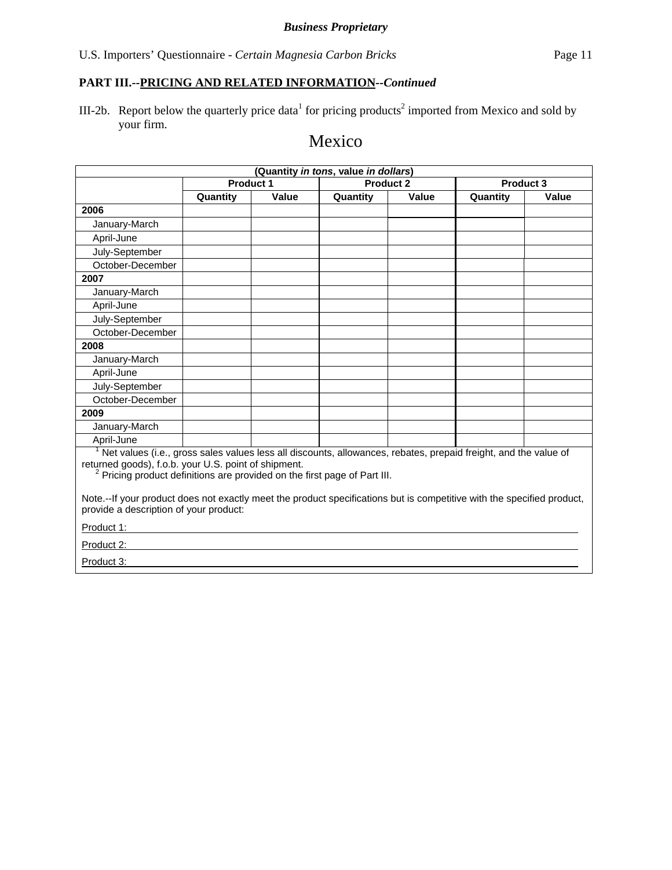III-2b. Report below the quarterly price data<sup>1</sup> for pricing products<sup>2</sup> imported from Mexico and sold by your firm.

# Mexico

| (Quantity in tons, value in dollars)                                                                                                                                                                                                                                         |                  |       |                  |       |          |           |  |
|------------------------------------------------------------------------------------------------------------------------------------------------------------------------------------------------------------------------------------------------------------------------------|------------------|-------|------------------|-------|----------|-----------|--|
|                                                                                                                                                                                                                                                                              | <b>Product 1</b> |       | <b>Product 2</b> |       |          | Product 3 |  |
|                                                                                                                                                                                                                                                                              | Quantity         | Value | Quantity         | Value | Quantity | Value     |  |
| 2006                                                                                                                                                                                                                                                                         |                  |       |                  |       |          |           |  |
| January-March                                                                                                                                                                                                                                                                |                  |       |                  |       |          |           |  |
| April-June                                                                                                                                                                                                                                                                   |                  |       |                  |       |          |           |  |
| July-September                                                                                                                                                                                                                                                               |                  |       |                  |       |          |           |  |
| October-December                                                                                                                                                                                                                                                             |                  |       |                  |       |          |           |  |
| 2007                                                                                                                                                                                                                                                                         |                  |       |                  |       |          |           |  |
| January-March                                                                                                                                                                                                                                                                |                  |       |                  |       |          |           |  |
| April-June                                                                                                                                                                                                                                                                   |                  |       |                  |       |          |           |  |
| July-September                                                                                                                                                                                                                                                               |                  |       |                  |       |          |           |  |
| October-December                                                                                                                                                                                                                                                             |                  |       |                  |       |          |           |  |
| 2008                                                                                                                                                                                                                                                                         |                  |       |                  |       |          |           |  |
| January-March                                                                                                                                                                                                                                                                |                  |       |                  |       |          |           |  |
| April-June                                                                                                                                                                                                                                                                   |                  |       |                  |       |          |           |  |
| July-September                                                                                                                                                                                                                                                               |                  |       |                  |       |          |           |  |
| October-December                                                                                                                                                                                                                                                             |                  |       |                  |       |          |           |  |
| 2009                                                                                                                                                                                                                                                                         |                  |       |                  |       |          |           |  |
| January-March                                                                                                                                                                                                                                                                |                  |       |                  |       |          |           |  |
| April-June                                                                                                                                                                                                                                                                   |                  |       |                  |       |          |           |  |
| <sup>1</sup> Net values (i.e., gross sales values less all discounts, allowances, rebates, prepaid freight, and the value of<br>returned goods), f.o.b. your U.S. point of shipment.<br><sup>2</sup> Pricing product definitions are provided on the first page of Part III. |                  |       |                  |       |          |           |  |
| Note.--If your product does not exactly meet the product specifications but is competitive with the specified product,<br>provide a description of your product:                                                                                                             |                  |       |                  |       |          |           |  |
| Product 1:                                                                                                                                                                                                                                                                   |                  |       |                  |       |          |           |  |
| Product 2:                                                                                                                                                                                                                                                                   |                  |       |                  |       |          |           |  |
| Product 3:                                                                                                                                                                                                                                                                   |                  |       |                  |       |          |           |  |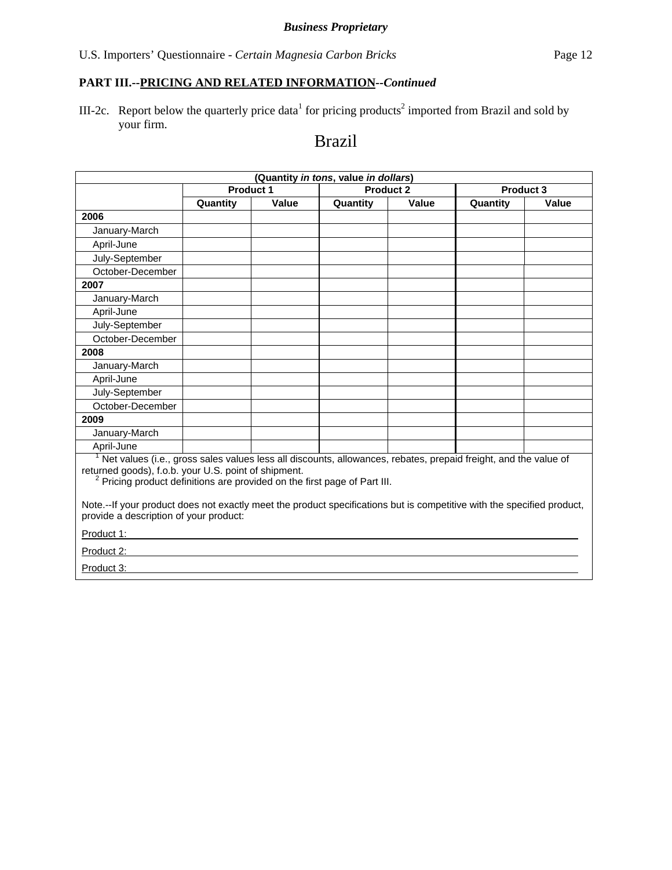# **PART III.--PRICING AND RELATED INFORMATION***--Continued*

III-2c. Report below the quarterly price data<sup>1</sup> for pricing products<sup>2</sup> imported from Brazil and sold by your firm.

# Brazil

| (Quantity in tons, value in dollars)                                                                                                                                                                                                                                                                                                                                                                                                              |                  |       |                  |       |                  |       |
|---------------------------------------------------------------------------------------------------------------------------------------------------------------------------------------------------------------------------------------------------------------------------------------------------------------------------------------------------------------------------------------------------------------------------------------------------|------------------|-------|------------------|-------|------------------|-------|
|                                                                                                                                                                                                                                                                                                                                                                                                                                                   | <b>Product 1</b> |       | <b>Product 2</b> |       | <b>Product 3</b> |       |
|                                                                                                                                                                                                                                                                                                                                                                                                                                                   | Quantity         | Value | Quantity         | Value | Quantity         | Value |
| 2006                                                                                                                                                                                                                                                                                                                                                                                                                                              |                  |       |                  |       |                  |       |
| January-March                                                                                                                                                                                                                                                                                                                                                                                                                                     |                  |       |                  |       |                  |       |
| April-June                                                                                                                                                                                                                                                                                                                                                                                                                                        |                  |       |                  |       |                  |       |
| July-September                                                                                                                                                                                                                                                                                                                                                                                                                                    |                  |       |                  |       |                  |       |
| October-December                                                                                                                                                                                                                                                                                                                                                                                                                                  |                  |       |                  |       |                  |       |
| 2007                                                                                                                                                                                                                                                                                                                                                                                                                                              |                  |       |                  |       |                  |       |
| January-March                                                                                                                                                                                                                                                                                                                                                                                                                                     |                  |       |                  |       |                  |       |
| April-June                                                                                                                                                                                                                                                                                                                                                                                                                                        |                  |       |                  |       |                  |       |
| July-September                                                                                                                                                                                                                                                                                                                                                                                                                                    |                  |       |                  |       |                  |       |
| October-December                                                                                                                                                                                                                                                                                                                                                                                                                                  |                  |       |                  |       |                  |       |
| 2008                                                                                                                                                                                                                                                                                                                                                                                                                                              |                  |       |                  |       |                  |       |
| January-March                                                                                                                                                                                                                                                                                                                                                                                                                                     |                  |       |                  |       |                  |       |
| April-June                                                                                                                                                                                                                                                                                                                                                                                                                                        |                  |       |                  |       |                  |       |
| July-September                                                                                                                                                                                                                                                                                                                                                                                                                                    |                  |       |                  |       |                  |       |
| October-December                                                                                                                                                                                                                                                                                                                                                                                                                                  |                  |       |                  |       |                  |       |
| 2009                                                                                                                                                                                                                                                                                                                                                                                                                                              |                  |       |                  |       |                  |       |
| January-March                                                                                                                                                                                                                                                                                                                                                                                                                                     |                  |       |                  |       |                  |       |
| April-June                                                                                                                                                                                                                                                                                                                                                                                                                                        |                  |       |                  |       |                  |       |
| Net values (i.e., gross sales values less all discounts, allowances, rebates, prepaid freight, and the value of<br>returned goods), f.o.b. your U.S. point of shipment.<br><sup>2</sup> Pricing product definitions are provided on the first page of Part III.<br>Note.--If your product does not exactly meet the product specifications but is competitive with the specified product,<br>provide a description of your product:<br>Product 1: |                  |       |                  |       |                  |       |
| Product 2:                                                                                                                                                                                                                                                                                                                                                                                                                                        |                  |       |                  |       |                  |       |
| Product 3:                                                                                                                                                                                                                                                                                                                                                                                                                                        |                  |       |                  |       |                  |       |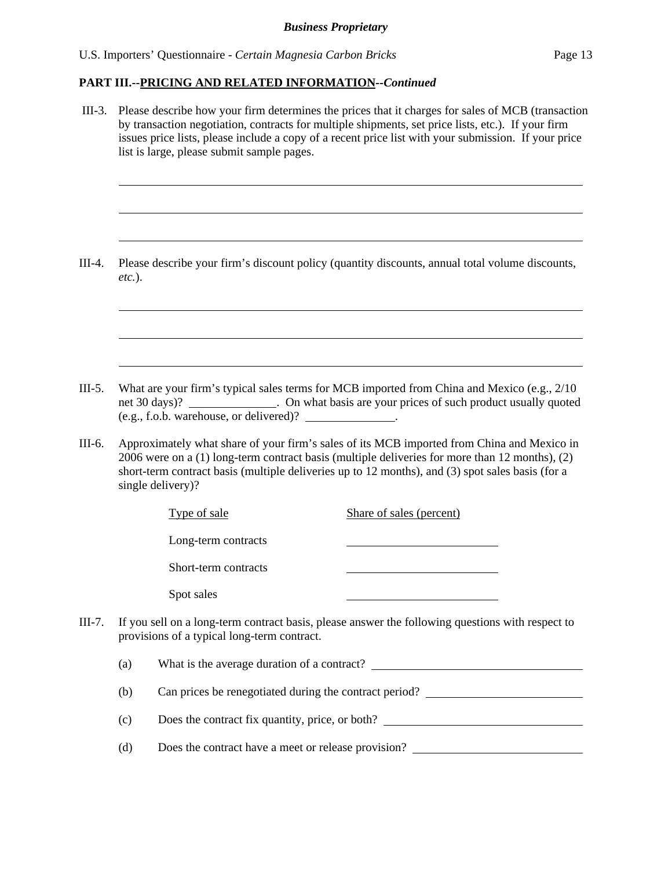#### **PART III.--PRICING AND RELATED INFORMATION***--Continued*

 III-3. Please describe how your firm determines the prices that it charges for sales of MCB (transaction by transaction negotiation, contracts for multiple shipments, set price lists, etc.). If your firm issues price lists, please include a copy of a recent price list with your submission. If your price list is large, please submit sample pages.  $\overline{a}$  $\overline{a}$  $\overline{a}$ III-4. Please describe your firm's discount policy (quantity discounts, annual total volume discounts, *etc.*).  $\overline{a}$  $\overline{a}$  $\overline{a}$ III-5. What are your firm's typical sales terms for MCB imported from China and Mexico (e.g., 2/10 net 30 days)? . On what basis are your prices of such product usually quoted (e.g., f.o.b. warehouse, or delivered)? . III-6. Approximately what share of your firm's sales of its MCB imported from China and Mexico in 2006 were on a (1) long-term contract basis (multiple deliveries for more than 12 months), (2) short-term contract basis (multiple deliveries up to 12 months), and (3) spot sales basis (for a single delivery)? Type of sale Share of sales (percent) Long-term contracts Short-term contracts Spot sales III-7. If you sell on a long-term contract basis, please answer the following questions with respect to provisions of a typical long-term contract. (a) What is the average duration of a contract? (b) Can prices be renegotiated during the contract period? (c) Does the contract fix quantity, price, or both? (d) Does the contract have a meet or release provision?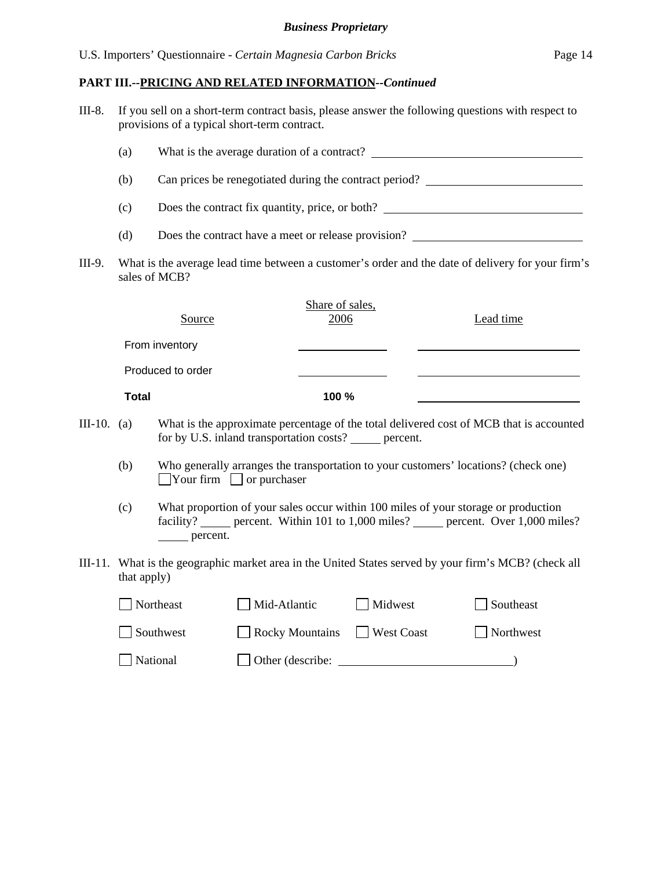| $III-8.$                                                                                                             |              | If you sell on a short-term contract basis, please answer the following questions with respect to<br>provisions of a typical short-term contract. |                                                          |                         |            |  |                                                                                                                                                                                                                                      |  |
|----------------------------------------------------------------------------------------------------------------------|--------------|---------------------------------------------------------------------------------------------------------------------------------------------------|----------------------------------------------------------|-------------------------|------------|--|--------------------------------------------------------------------------------------------------------------------------------------------------------------------------------------------------------------------------------------|--|
|                                                                                                                      | (a)          |                                                                                                                                                   |                                                          |                         |            |  |                                                                                                                                                                                                                                      |  |
|                                                                                                                      | (b)          | Can prices be renegotiated during the contract period?                                                                                            |                                                          |                         |            |  |                                                                                                                                                                                                                                      |  |
|                                                                                                                      | (c)          |                                                                                                                                                   |                                                          |                         |            |  | Does the contract fix quantity, price, or both?                                                                                                                                                                                      |  |
|                                                                                                                      | (d)          |                                                                                                                                                   |                                                          |                         |            |  | Does the contract have a meet or release provision?                                                                                                                                                                                  |  |
| III-9.                                                                                                               |              | sales of MCB?                                                                                                                                     |                                                          |                         |            |  | What is the average lead time between a customer's order and the date of delivery for your firm's                                                                                                                                    |  |
|                                                                                                                      |              | Source                                                                                                                                            |                                                          | Share of sales,<br>2006 |            |  | Lead time                                                                                                                                                                                                                            |  |
|                                                                                                                      |              | From inventory                                                                                                                                    |                                                          |                         |            |  |                                                                                                                                                                                                                                      |  |
|                                                                                                                      |              | Produced to order                                                                                                                                 |                                                          |                         |            |  | <u>state and the state of the state of the state of the state of the state of the state of the state of the state of the state of the state of the state of the state of the state of the state of the state of the state of the</u> |  |
|                                                                                                                      | <b>Total</b> |                                                                                                                                                   |                                                          | 100 %                   |            |  |                                                                                                                                                                                                                                      |  |
| III-10. $(a)$                                                                                                        |              |                                                                                                                                                   | for by U.S. inland transportation costs? ______ percent. |                         |            |  | What is the approximate percentage of the total delivered cost of MCB that is accounted                                                                                                                                              |  |
|                                                                                                                      | (b)          |                                                                                                                                                   | $\Box$ Your firm $\Box$ or purchaser                     |                         |            |  | Who generally arranges the transportation to your customers' locations? (check one)                                                                                                                                                  |  |
|                                                                                                                      | (c)          | _______ percent.                                                                                                                                  |                                                          |                         |            |  | What proportion of your sales occur within 100 miles of your storage or production<br>facility? ______ percent. Within 101 to 1,000 miles? ______ percent. Over 1,000 miles?                                                         |  |
| III-11. What is the geographic market area in the United States served by your firm's MCB? (check all<br>that apply) |              |                                                                                                                                                   |                                                          |                         |            |  |                                                                                                                                                                                                                                      |  |
|                                                                                                                      |              | Northeast                                                                                                                                         | Mid-Atlantic                                             |                         | Midwest    |  | Southeast                                                                                                                                                                                                                            |  |
|                                                                                                                      |              | Southwest                                                                                                                                         | <b>Rocky Mountains</b>                                   |                         | West Coast |  | Northwest                                                                                                                                                                                                                            |  |
|                                                                                                                      |              | National                                                                                                                                          | Other (describe:                                         |                         |            |  |                                                                                                                                                                                                                                      |  |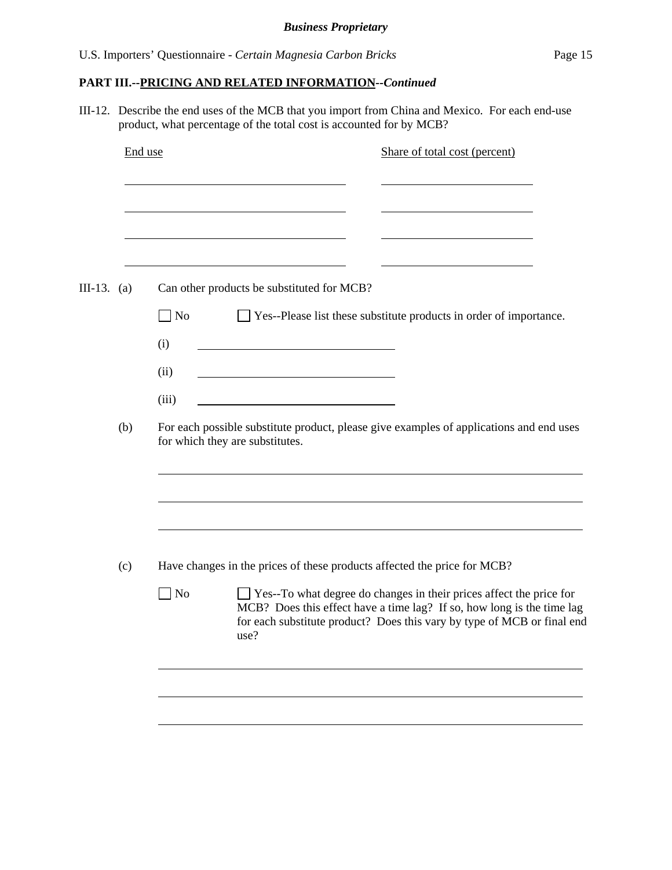III-12. Describe the end uses of the MCB that you import from China and Mexico. For each end-use product, what percentage of the total cost is accounted for by MCB?

|             |     | End use                                                                                                                                                                                                                                              | Share of total cost (percent) |
|-------------|-----|------------------------------------------------------------------------------------------------------------------------------------------------------------------------------------------------------------------------------------------------------|-------------------------------|
|             |     |                                                                                                                                                                                                                                                      |                               |
| III-13. (a) |     | Can other products be substituted for MCB?                                                                                                                                                                                                           |                               |
|             |     | $\neg$ No<br>$\Box$ Yes--Please list these substitute products in order of importance.                                                                                                                                                               |                               |
|             |     | (i)                                                                                                                                                                                                                                                  |                               |
|             |     | (ii)                                                                                                                                                                                                                                                 |                               |
|             |     | (iii)                                                                                                                                                                                                                                                |                               |
|             | (b) | For each possible substitute product, please give examples of applications and end uses<br>for which they are substitutes.                                                                                                                           |                               |
|             |     |                                                                                                                                                                                                                                                      |                               |
|             | (c) | Have changes in the prices of these products affected the price for MCB?                                                                                                                                                                             |                               |
|             |     | $\Box$ Yes--To what degree do changes in their prices affect the price for<br>$\Box$ No<br>MCB? Does this effect have a time lag? If so, how long is the time lag<br>for each substitute product? Does this vary by type of MCB or final end<br>use? |                               |
|             |     |                                                                                                                                                                                                                                                      |                               |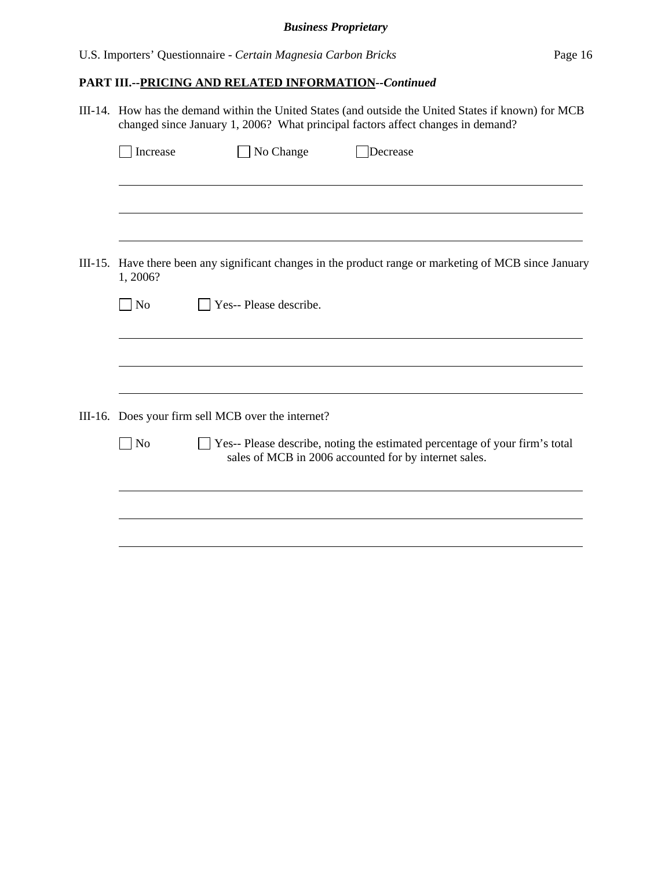# *Business Proprietary*

# **PART III.--PRICING AND RELATED INFORMATION***--Continued*

| III-14. How has the demand within the United States (and outside the United States if known) for MCB<br>changed since January 1, 2006? What principal factors affect changes in demand? |                                                    |                                                                                                                                      |  |  |  |  |
|-----------------------------------------------------------------------------------------------------------------------------------------------------------------------------------------|----------------------------------------------------|--------------------------------------------------------------------------------------------------------------------------------------|--|--|--|--|
| Increase                                                                                                                                                                                | No Change                                          | Decrease                                                                                                                             |  |  |  |  |
|                                                                                                                                                                                         |                                                    |                                                                                                                                      |  |  |  |  |
|                                                                                                                                                                                         |                                                    |                                                                                                                                      |  |  |  |  |
|                                                                                                                                                                                         |                                                    |                                                                                                                                      |  |  |  |  |
| 1, 2006?                                                                                                                                                                                |                                                    | III-15. Have there been any significant changes in the product range or marketing of MCB since January                               |  |  |  |  |
| $\Box$ No                                                                                                                                                                               | Yes-- Please describe.                             |                                                                                                                                      |  |  |  |  |
|                                                                                                                                                                                         |                                                    |                                                                                                                                      |  |  |  |  |
|                                                                                                                                                                                         |                                                    |                                                                                                                                      |  |  |  |  |
|                                                                                                                                                                                         |                                                    |                                                                                                                                      |  |  |  |  |
|                                                                                                                                                                                         | III-16. Does your firm sell MCB over the internet? |                                                                                                                                      |  |  |  |  |
| $\Box$ No                                                                                                                                                                               |                                                    | Yes-- Please describe, noting the estimated percentage of your firm's total<br>sales of MCB in 2006 accounted for by internet sales. |  |  |  |  |
|                                                                                                                                                                                         |                                                    |                                                                                                                                      |  |  |  |  |
|                                                                                                                                                                                         |                                                    |                                                                                                                                      |  |  |  |  |
|                                                                                                                                                                                         |                                                    |                                                                                                                                      |  |  |  |  |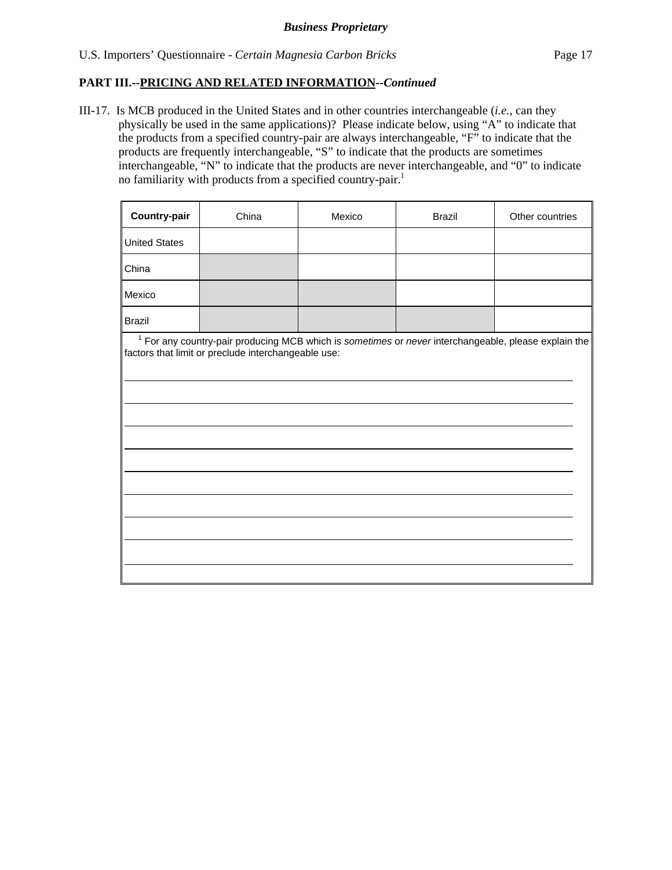#### **PART III.--PRICING AND RELATED INFORMATION***--Continued*

III-17. Is MCB produced in the United States and in other countries interchangeable (*i.e.*, can they physically be used in the same applications)? Please indicate below, using "A" to indicate that the products from a specified country-pair are always interchangeable, "F" to indicate that the products are frequently interchangeable, "S" to indicate that the products are sometimes interchangeable, "N" to indicate that the products are never interchangeable, and "0" to indicate no familiarity with products from a specified country-pair.<sup>1</sup>

| Country-pair         | China                                                                                                                                                         | Mexico | <b>Brazil</b> | Other countries |
|----------------------|---------------------------------------------------------------------------------------------------------------------------------------------------------------|--------|---------------|-----------------|
| <b>United States</b> |                                                                                                                                                               |        |               |                 |
| China                |                                                                                                                                                               |        |               |                 |
| Mexico               |                                                                                                                                                               |        |               |                 |
| <b>Brazil</b>        |                                                                                                                                                               |        |               |                 |
|                      | $1$ For any country-pair producing MCB which is sometimes or never interchangeable, please explain the<br>factors that limit or preclude interchangeable use: |        |               |                 |
|                      |                                                                                                                                                               |        |               |                 |
|                      |                                                                                                                                                               |        |               |                 |
|                      |                                                                                                                                                               |        |               |                 |
|                      |                                                                                                                                                               |        |               |                 |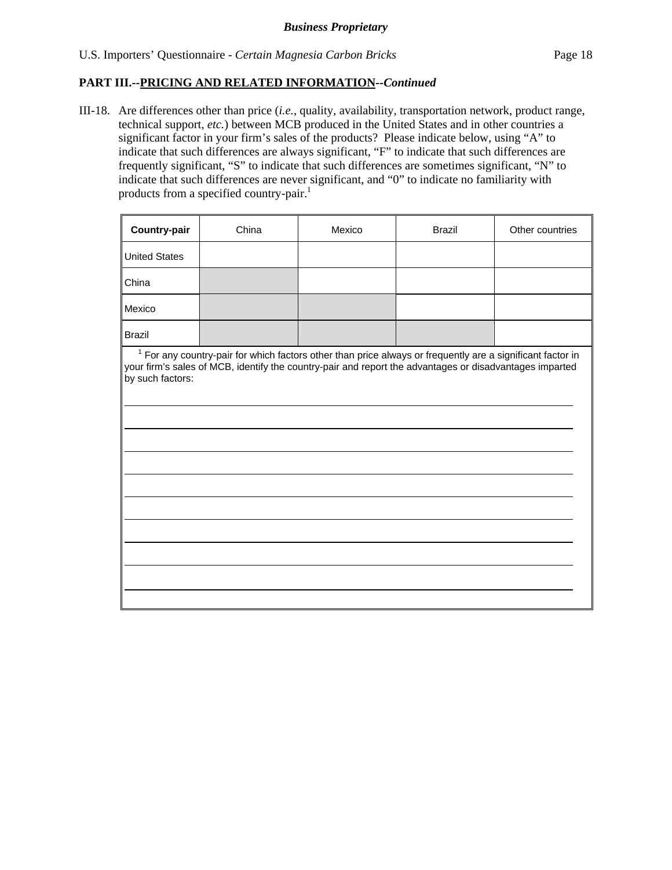III-18. Are differences other than price (*i.e.*, quality, availability, transportation network, product range, technical support, *etc.*) between MCB produced in the United States and in other countries a significant factor in your firm's sales of the products? Please indicate below, using "A" to indicate that such differences are always significant, "F" to indicate that such differences are frequently significant, "S" to indicate that such differences are sometimes significant, "N" to indicate that such differences are never significant, and "0" to indicate no familiarity with products from a specified country-pair.<sup>1</sup>

| Country-pair                                                                                                                                                                                                                                | China | Mexico | <b>Brazil</b> | Other countries |  |  |
|---------------------------------------------------------------------------------------------------------------------------------------------------------------------------------------------------------------------------------------------|-------|--------|---------------|-----------------|--|--|
| <b>United States</b>                                                                                                                                                                                                                        |       |        |               |                 |  |  |
| China                                                                                                                                                                                                                                       |       |        |               |                 |  |  |
| Mexico                                                                                                                                                                                                                                      |       |        |               |                 |  |  |
| <b>Brazil</b>                                                                                                                                                                                                                               |       |        |               |                 |  |  |
| $1$ For any country-pair for which factors other than price always or frequently are a significant factor in<br>your firm's sales of MCB, identify the country-pair and report the advantages or disadvantages imparted<br>by such factors: |       |        |               |                 |  |  |